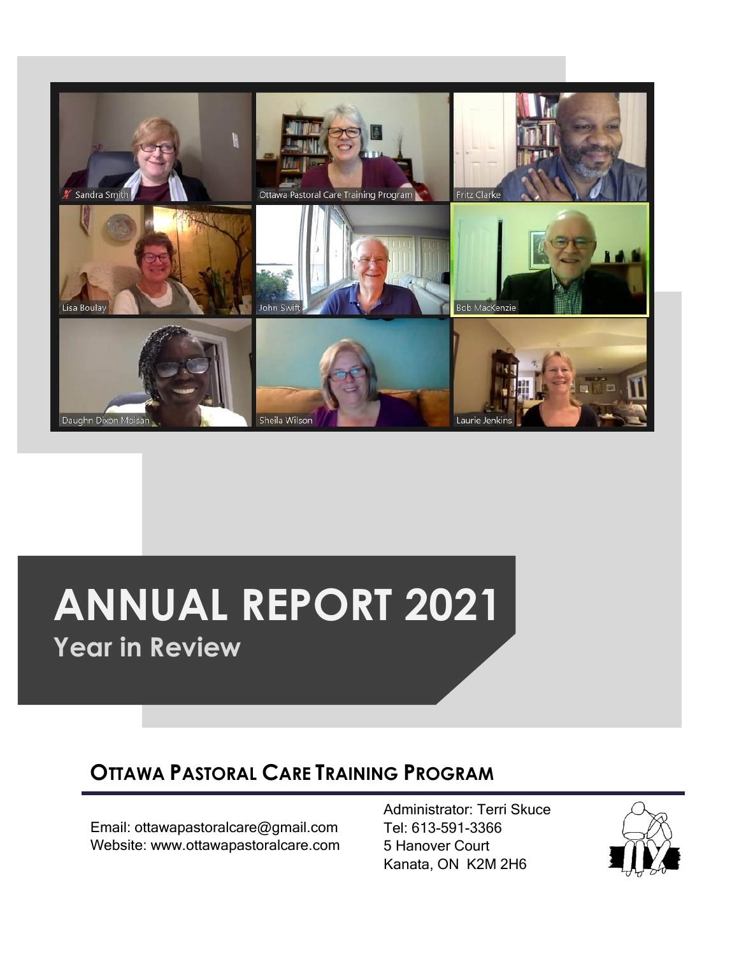

# **ANNUAL REPORT 2021**

**Year in Review**

### **OTTAWA PASTORAL CARE TRAINING PROGRAM**

Email: ottawapastoralcare@gmail.com Website: www.ottawapastoralcare.com Administrator: Terri Skuce Tel: 613-591-3366 5 Hanover Court Kanata, ON K2M 2H6

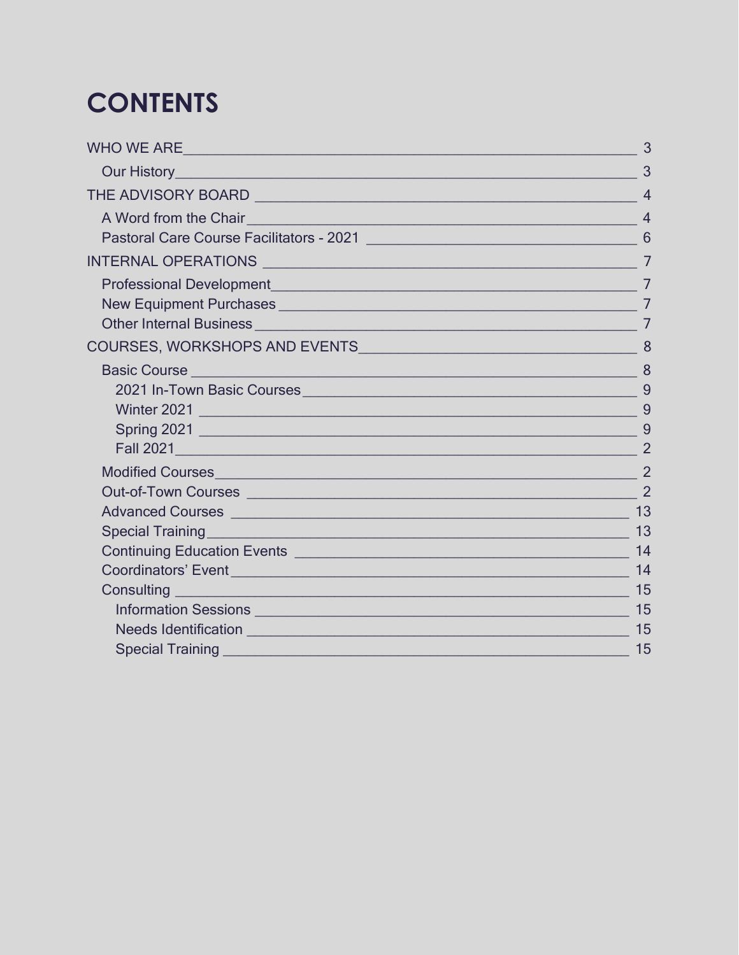## **CONTENTS**

|                                                                                                                                                                                                                                      | 3              |
|--------------------------------------------------------------------------------------------------------------------------------------------------------------------------------------------------------------------------------------|----------------|
| Our History <u>Andrea Barbara and Barbara and Barbara and Barbara and Barbara and Barbara and Barbara and Barbara and Barbara and Barbara and Barbara and Barbara and Barbara and Barbara and Barbara and Barbara and Barbara an</u> | 3              |
|                                                                                                                                                                                                                                      | $\overline{4}$ |
| A Word from the Chair <b>And Access 2019</b> No. 2019 12:00:00 No. 2019 12:00:00 No. 2019 12:00:00 No. 2019 12:00:00 No. 2019 12:00:00 No. 2019 12:00:00 No. 2019 12:00:00 No. 2019 12:00:00 No. 2019 12:00:00 No. 2019 12:00:00 No  | $\overline{4}$ |
|                                                                                                                                                                                                                                      |                |
|                                                                                                                                                                                                                                      | $\overline{7}$ |
|                                                                                                                                                                                                                                      |                |
|                                                                                                                                                                                                                                      | $\overline{7}$ |
|                                                                                                                                                                                                                                      |                |
|                                                                                                                                                                                                                                      | 8              |
|                                                                                                                                                                                                                                      |                |
|                                                                                                                                                                                                                                      |                |
|                                                                                                                                                                                                                                      |                |
|                                                                                                                                                                                                                                      | -9             |
|                                                                                                                                                                                                                                      |                |
|                                                                                                                                                                                                                                      |                |
|                                                                                                                                                                                                                                      |                |
|                                                                                                                                                                                                                                      |                |
| Special Training <b>Contract Contract Contract Contract Contract Contract Contract Contract Contract Contract Contract Contract Contract Contract Contract Contract Contract Contract Contract Contract Contract Contract Contra</b> | 13             |
|                                                                                                                                                                                                                                      | 14             |
| Coordinators' Event <b>contract of the contract of the contract of the contract of the contract of the contract of the contract of the contract of the contract of the contract of the contract of the contract of the contract </b> | 14             |
|                                                                                                                                                                                                                                      | 15             |
|                                                                                                                                                                                                                                      | 15             |
|                                                                                                                                                                                                                                      | 15             |
| Special Training and the contract of the contract of the contract of the contract of the contract of the contract of the contract of the contract of the contract of the contract of the contract of the contract of the contr       | 15             |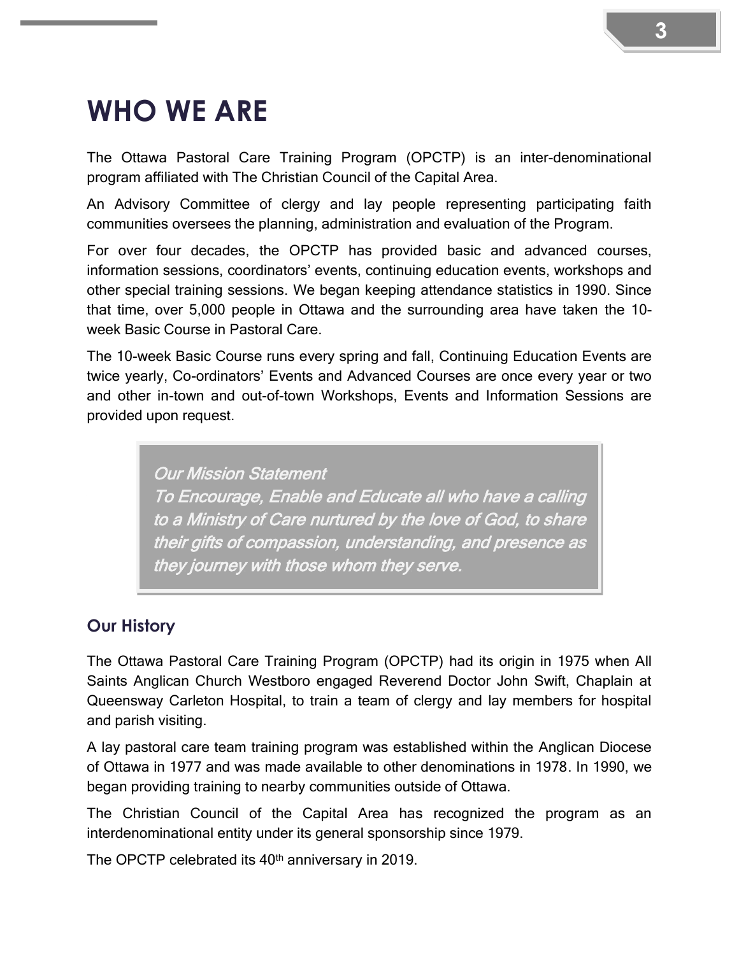### <span id="page-2-0"></span>**WHO WE ARE**

The Ottawa Pastoral Care Training Program (OPCTP) is an inter-denominational program affiliated with The Christian Council of the Capital Area.

An Advisory Committee of clergy and lay people representing participating faith communities oversees the planning, administration and evaluation of the Program.

For over four decades, the OPCTP has provided basic and advanced courses, information sessions, coordinators' events, continuing education events, workshops and other special training sessions. We began keeping attendance statistics in 1990. Since that time, over 5,000 people in Ottawa and the surrounding area have taken the 10 week Basic Course in Pastoral Care.

The 10-week Basic Course runs every spring and fall, Continuing Education Events are twice yearly, Co-ordinators' Events and Advanced Courses are once every year or two and other in-town and out-of-town Workshops, Events and Information Sessions are provided upon request.

> Our Mission Statement To Encourage, Enable and Educate all who have a calling to a Ministry of Care nurtured by the love of God, to share their gifts of compassion, understanding, and presence as they journey with those whom they serve.

#### <span id="page-2-1"></span>**Our History**

The Ottawa Pastoral Care Training Program (OPCTP) had its origin in 1975 when All Saints Anglican Church Westboro engaged Reverend Doctor John Swift, Chaplain at Queensway Carleton Hospital, to train a team of clergy and lay members for hospital and parish visiting.

A lay pastoral care team training program was established within the Anglican Diocese of Ottawa in 1977 and was made available to other denominations in 1978. In 1990, we began providing training to nearby communities outside of Ottawa.

The Christian Council of the Capital Area has recognized the program as an interdenominational entity under its general sponsorship since 1979.

The OPCTP celebrated its 40<sup>th</sup> anniversary in 2019.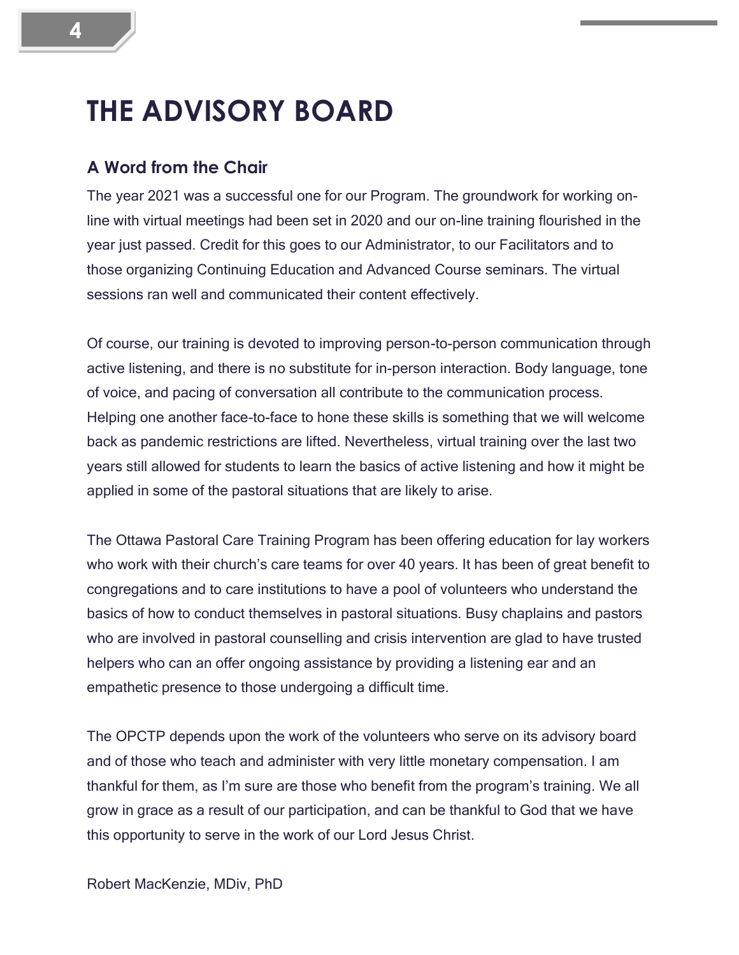### <span id="page-3-0"></span>**THE ADVISORY BOARD**

#### <span id="page-3-1"></span>**A Word from the Chair**

The year 2021 was a successful one for our Program. The groundwork for working online with virtual meetings had been set in 2020 and our on-line training flourished in the year just passed. Credit for this goes to our Administrator, to our Facilitators and to those organizing Continuing Education and Advanced Course seminars. The virtual sessions ran well and communicated their content effectively.

Of course, our training is devoted to improving person-to-person communication through active listening, and there is no substitute for in-person interaction. Body language, tone of voice, and pacing of conversation all contribute to the communication process. Helping one another face-to-face to hone these skills is something that we will welcome back as pandemic restrictions are lifted. Nevertheless, virtual training over the last two years still allowed for students to learn the basics of active listening and how it might be applied in some of the pastoral situations that are likely to arise.

The Ottawa Pastoral Care Training Program has been offering education for lay workers who work with their church's care teams for over 40 years. It has been of great benefit to congregations and to care institutions to have a pool of volunteers who understand the basics of how to conduct themselves in pastoral situations. Busy chaplains and pastors who are involved in pastoral counselling and crisis intervention are glad to have trusted helpers who can an offer ongoing assistance by providing a listening ear and an empathetic presence to those undergoing a difficult time.

The OPCTP depends upon the work of the volunteers who serve on its advisory board and of those who teach and administer with very little monetary compensation. I am thankful for them, as I'm sure are those who benefit from the program's training. We all grow in grace as a result of our participation, and can be thankful to God that we have this opportunity to serve in the work of our Lord Jesus Christ.

Robert MacKenzie, MDiv, PhD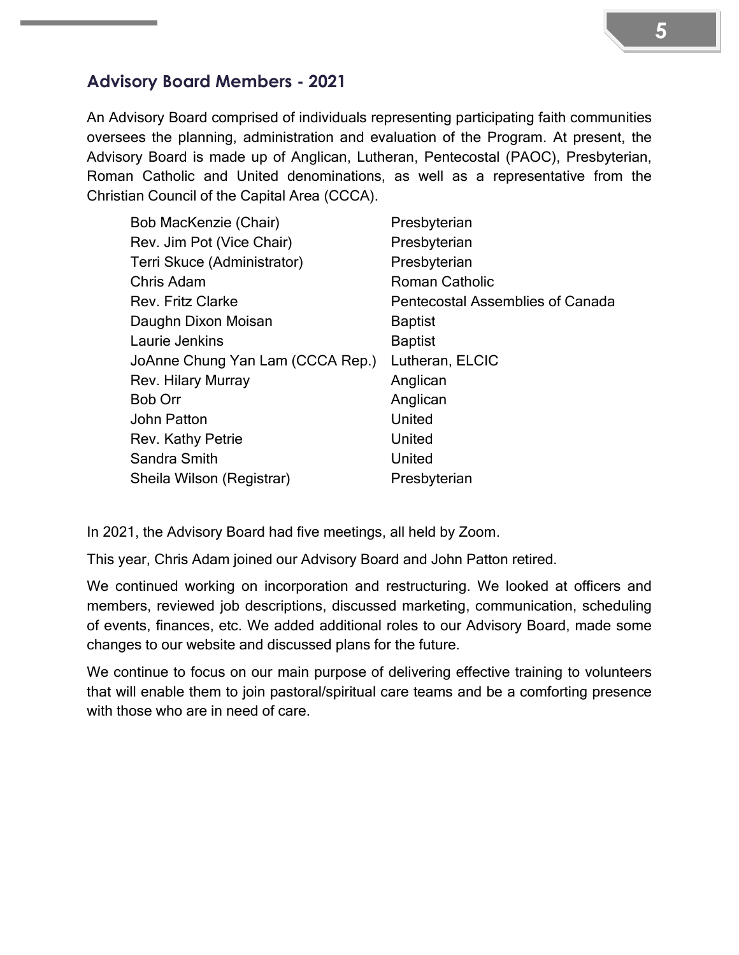#### **Advisory Board Members - 2021**

An Advisory Board comprised of individuals representing participating faith communities oversees the planning, administration and evaluation of the Program. At present, the Advisory Board is made up of Anglican, Lutheran, Pentecostal (PAOC), Presbyterian, Roman Catholic and United denominations, as well as a representative from the Christian Council of the Capital Area (CCCA).

| Bob MacKenzie (Chair)            | Presbyterian                            |
|----------------------------------|-----------------------------------------|
| Rev. Jim Pot (Vice Chair)        | Presbyterian                            |
| Terri Skuce (Administrator)      | Presbyterian                            |
| Chris Adam                       | <b>Roman Catholic</b>                   |
| <b>Rev. Fritz Clarke</b>         | <b>Pentecostal Assemblies of Canada</b> |
| Daughn Dixon Moisan              | <b>Baptist</b>                          |
| Laurie Jenkins                   | <b>Baptist</b>                          |
| JoAnne Chung Yan Lam (CCCA Rep.) | Lutheran, ELCIC                         |
| Rev. Hilary Murray               | Anglican                                |
| <b>Bob Orr</b>                   | Anglican                                |
| John Patton                      | United                                  |
| Rev. Kathy Petrie                | United                                  |
| Sandra Smith                     | United                                  |
| Sheila Wilson (Registrar)        | Presbyterian                            |

In 2021, the Advisory Board had five meetings, all held by Zoom.

This year, Chris Adam joined our Advisory Board and John Patton retired.

We continued working on incorporation and restructuring. We looked at officers and members, reviewed job descriptions, discussed marketing, communication, scheduling of events, finances, etc. We added additional roles to our Advisory Board, made some changes to our website and discussed plans for the future.

We continue to focus on our main purpose of delivering effective training to volunteers that will enable them to join pastoral/spiritual care teams and be a comforting presence with those who are in need of care.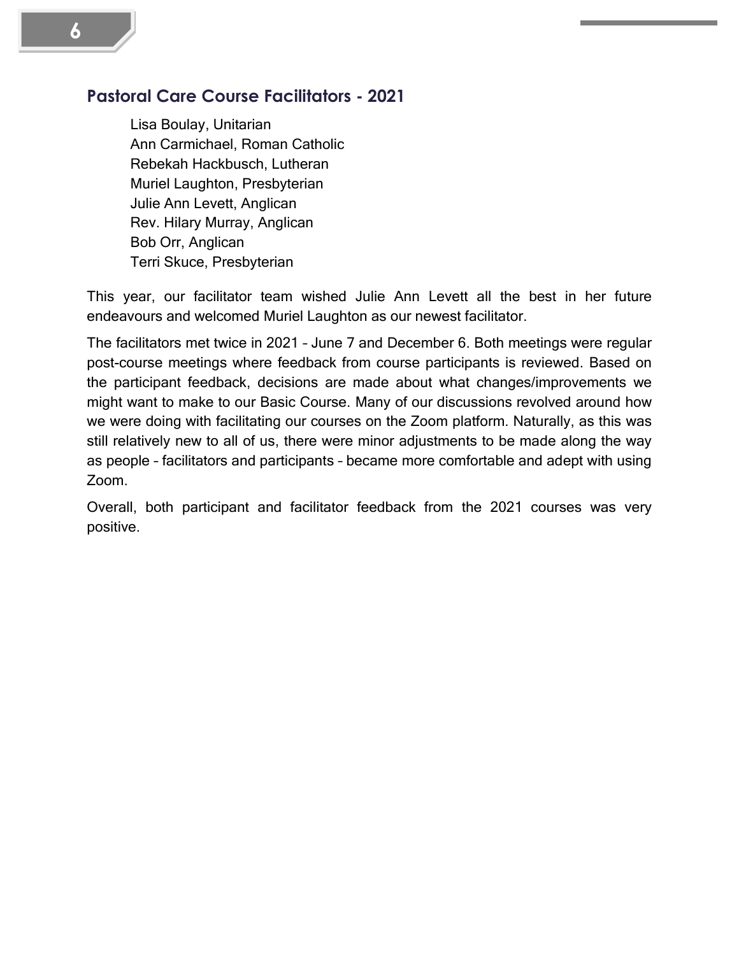#### <span id="page-5-0"></span>**Pastoral Care Course Facilitators - 2021**

Lisa Boulay, Unitarian Ann Carmichael, Roman Catholic Rebekah Hackbusch, Lutheran Muriel Laughton, Presbyterian Julie Ann Levett, Anglican Rev. Hilary Murray, Anglican Bob Orr, Anglican Terri Skuce, Presbyterian

This year, our facilitator team wished Julie Ann Levett all the best in her future endeavours and welcomed Muriel Laughton as our newest facilitator.

The facilitators met twice in 2021 – June 7 and December 6. Both meetings were regular post-course meetings where feedback from course participants is reviewed. Based on the participant feedback, decisions are made about what changes/improvements we might want to make to our Basic Course. Many of our discussions revolved around how we were doing with facilitating our courses on the Zoom platform. Naturally, as this was still relatively new to all of us, there were minor adjustments to be made along the way as people – facilitators and participants – became more comfortable and adept with using Zoom.

Overall, both participant and facilitator feedback from the 2021 courses was very positive.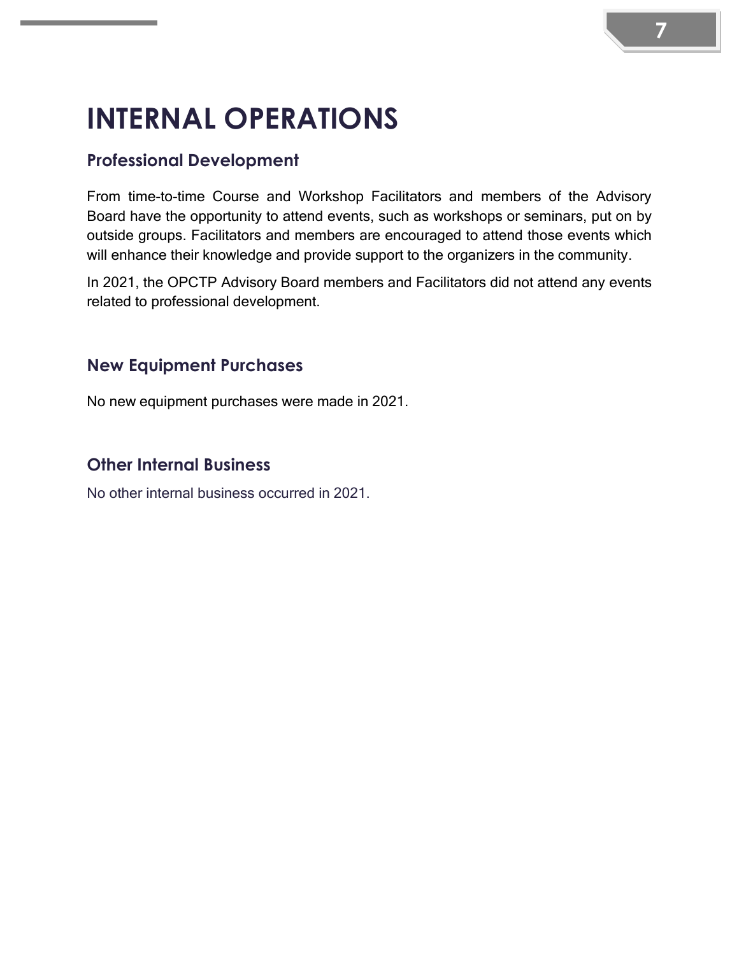# <span id="page-6-0"></span>**INTERNAL OPERATIONS**

### <span id="page-6-1"></span>**Professional Development**

From time-to-time Course and Workshop Facilitators and members of the Advisory Board have the opportunity to attend events, such as workshops or seminars, put on by outside groups. Facilitators and members are encouraged to attend those events which will enhance their knowledge and provide support to the organizers in the community.

In 2021, the OPCTP Advisory Board members and Facilitators did not attend any events related to professional development.

#### <span id="page-6-2"></span>**New Equipment Purchases**

No new equipment purchases were made in 2021.

#### <span id="page-6-3"></span>**Other Internal Business**

No other internal business occurred in 2021.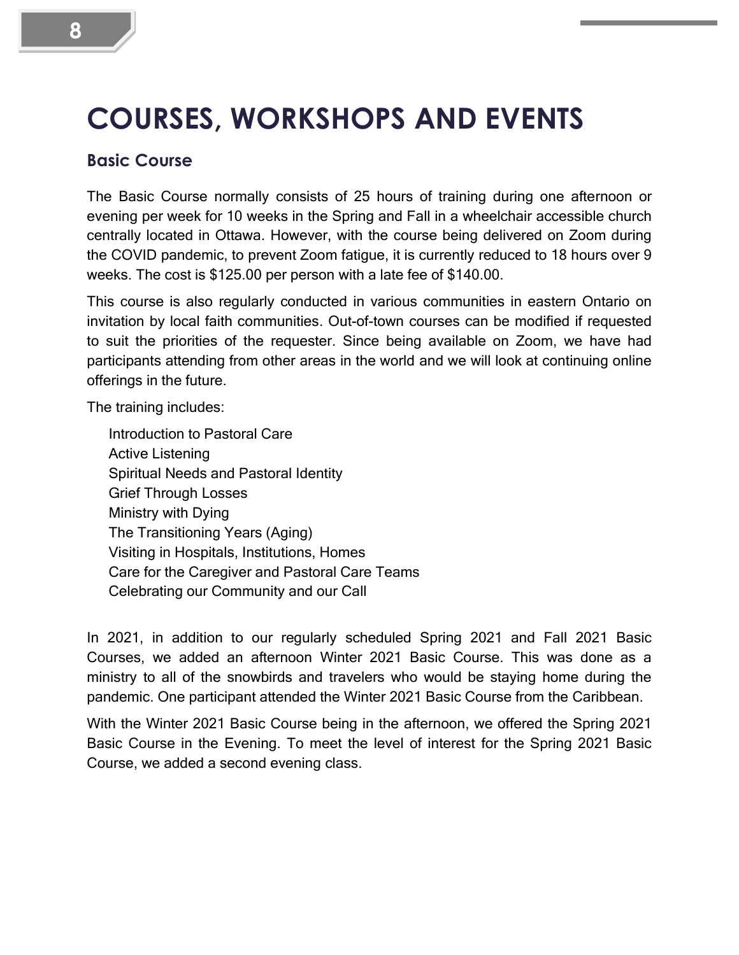### <span id="page-7-0"></span>**COURSES, WORKSHOPS AND EVENTS**

#### <span id="page-7-1"></span>**Basic Course**

The Basic Course normally consists of 25 hours of training during one afternoon or evening per week for 10 weeks in the Spring and Fall in a wheelchair accessible church centrally located in Ottawa. However, with the course being delivered on Zoom during the COVID pandemic, to prevent Zoom fatigue, it is currently reduced to 18 hours over 9 weeks. The cost is \$125.00 per person with a late fee of \$140.00.

This course is also regularly conducted in various communities in eastern Ontario on invitation by local faith communities. Out-of-town courses can be modified if requested to suit the priorities of the requester. Since being available on Zoom, we have had participants attending from other areas in the world and we will look at continuing online offerings in the future.

The training includes:

Introduction to Pastoral Care Active Listening Spiritual Needs and Pastoral Identity Grief Through Losses Ministry with Dying The Transitioning Years (Aging) Visiting in Hospitals, Institutions, Homes Care for the Caregiver and Pastoral Care Teams Celebrating our Community and our Call

In 2021, in addition to our regularly scheduled Spring 2021 and Fall 2021 Basic Courses, we added an afternoon Winter 2021 Basic Course. This was done as a ministry to all of the snowbirds and travelers who would be staying home during the pandemic. One participant attended the Winter 2021 Basic Course from the Caribbean.

With the Winter 2021 Basic Course being in the afternoon, we offered the Spring 2021 Basic Course in the Evening. To meet the level of interest for the Spring 2021 Basic Course, we added a second evening class.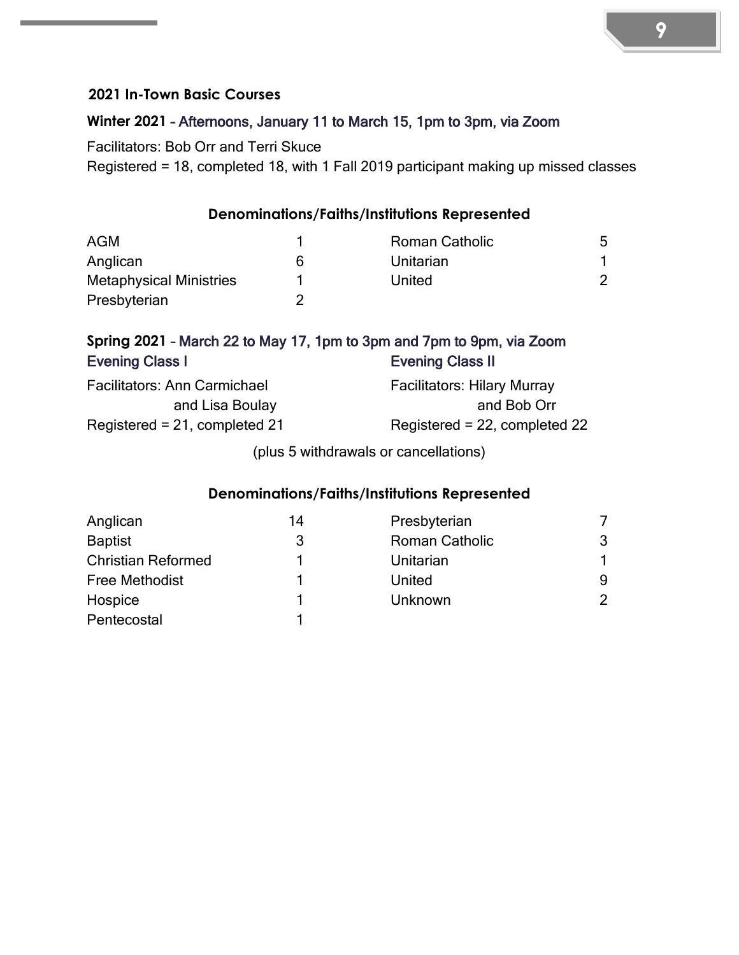#### <span id="page-8-0"></span>**2021 In-Town Basic Courses**

#### <span id="page-8-1"></span>**Winter 2021** – Afternoons, January 11 to March 15, 1pm to 3pm, via Zoom

Facilitators: Bob Orr and Terri Skuce

Registered = 18, completed 18, with 1 Fall 2019 participant making up missed classes

#### **Denominations/Faiths/Institutions Represented**

| <b>AGM</b>                     |   | <b>Roman Catholic</b> | 5 |
|--------------------------------|---|-----------------------|---|
| Anglican                       | 6 | Unitarian             |   |
| <b>Metaphysical Ministries</b> |   | United                |   |
| Presbyterian                   |   |                       |   |

#### <span id="page-8-2"></span>**Spring 2021** – March 22 to May 17, 1pm to 3pm and 7pm to 9pm, via Zoom Evening Class I Evening Class II

| <b>Facilitators: Ann Carmichael</b> | <b>Facilitators: Hilary Murray</b> |
|-------------------------------------|------------------------------------|
| and Lisa Boulay                     | and Bob Orr                        |
| Registered = $21$ , completed $21$  | Registered = $22$ , completed $22$ |

(plus 5 withdrawals or cancellations)

#### **Denominations/Faiths/Institutions Represented**

| Anglican                  | 14 | Presbyterian          |   |
|---------------------------|----|-----------------------|---|
| <b>Baptist</b>            | 3  | <b>Roman Catholic</b> | 3 |
| <b>Christian Reformed</b> |    | Unitarian             |   |
| <b>Free Methodist</b>     |    | United                | 9 |
| Hospice                   |    | Unknown               | 2 |
| Pentecostal               |    |                       |   |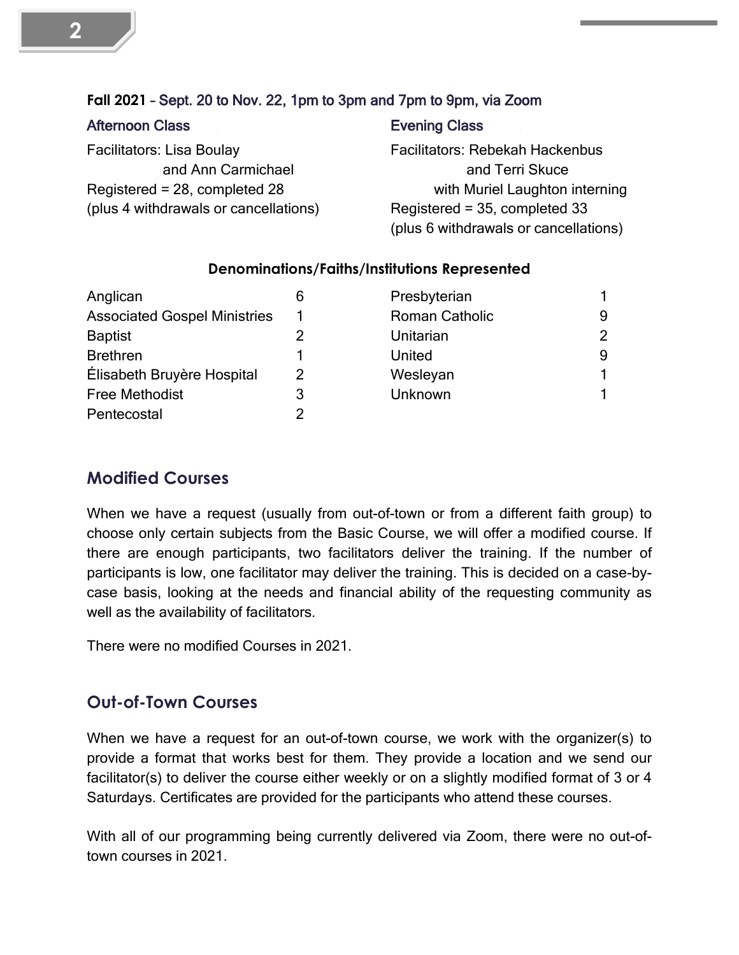#### <span id="page-9-0"></span>**Fall 2021** – Sept. 20 to Nov. 22, 1pm to 3pm and 7pm to 9pm, via Zoom

| <b>Afternoon Class</b> |  |
|------------------------|--|
|------------------------|--|

Facilitators: Lisa Boulay and Ann Carmichael Registered = 28, completed 28 (plus 4 withdrawals or cancellations)

#### Evening Class

Facilitators: Rebekah Hackenbus and Terri Skuce with Muriel Laughton interning Registered = 35, completed 33 (plus 6 withdrawals or cancellations)

#### **Denominations/Faiths/Institutions Represented**

| Anglican                            | 6 | Presbyterian          |                |
|-------------------------------------|---|-----------------------|----------------|
| <b>Associated Gospel Ministries</b> |   | <b>Roman Catholic</b> | 9              |
| <b>Baptist</b>                      |   | Unitarian             | $\overline{2}$ |
| <b>Brethren</b>                     |   | United                | 9              |
| Élisabeth Bruyère Hospital          | 2 | Wesleyan              |                |
| <b>Free Methodist</b>               | 3 | Unknown               |                |
| Pentecostal                         | 2 |                       |                |

#### <span id="page-9-1"></span>**Modified Courses**

When we have a request (usually from out-of-town or from a different faith group) to choose only certain subjects from the Basic Course, we will offer a modified course. If there are enough participants, two facilitators deliver the training. If the number of participants is low, one facilitator may deliver the training. This is decided on a case-bycase basis, looking at the needs and financial ability of the requesting community as well as the availability of facilitators.

There were no modified Courses in 2021.

#### <span id="page-9-2"></span>**Out-of-Town Courses**

When we have a request for an out-of-town course, we work with the organizer(s) to provide a format that works best for them. They provide a location and we send our facilitator(s) to deliver the course either weekly or on a slightly modified format of 3 or 4 Saturdays. Certificates are provided for the participants who attend these courses.

With all of our programming being currently delivered via Zoom, there were no out-oftown courses in 2021.

**2**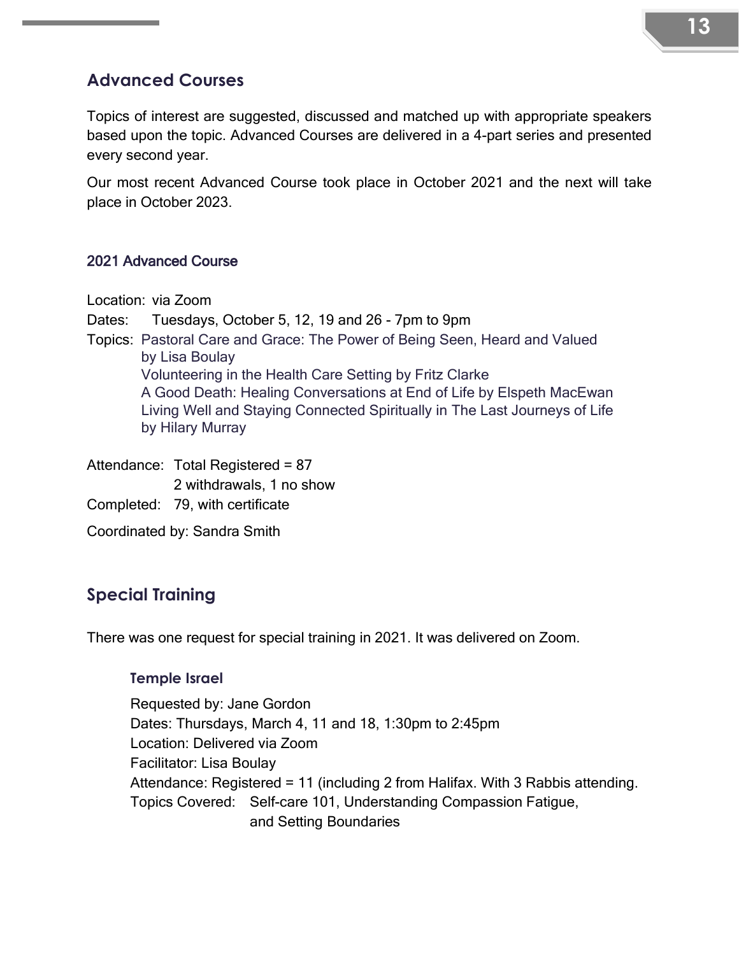#### **13**

#### <span id="page-10-0"></span>**Advanced Courses**

Topics of interest are suggested, discussed and matched up with appropriate speakers based upon the topic. Advanced Courses are delivered in a 4-part series and presented every second year.

Our most recent Advanced Course took place in October 2021 and the next will take place in October 2023.

#### 2021 Advanced Course

Location: via Zoom

Dates: Tuesdays, October 5, 12, 19 and 26 - 7pm to 9pm

Topics: Pastoral Care and Grace: The Power of Being Seen, Heard and Valued by Lisa Boulay Volunteering in the Health Care Setting by Fritz Clarke

A Good Death: Healing Conversations at End of Life by Elspeth MacEwan Living Well and Staying Connected Spiritually in The Last Journeys of Life by Hilary Murray

Attendance: Total Registered = 87 2 withdrawals, 1 no show Completed: 79, with certificate Coordinated by: Sandra Smith

#### <span id="page-10-1"></span>**Special Training**

There was one request for special training in 2021. It was delivered on Zoom.

#### **Temple Israel**

Requested by: Jane Gordon Dates: Thursdays, March 4, 11 and 18, 1:30pm to 2:45pm Location: Delivered via Zoom Facilitator: Lisa Boulay Attendance: Registered = 11 (including 2 from Halifax. With 3 Rabbis attending. Topics Covered: Self-care 101, Understanding Compassion Fatigue, and Setting Boundaries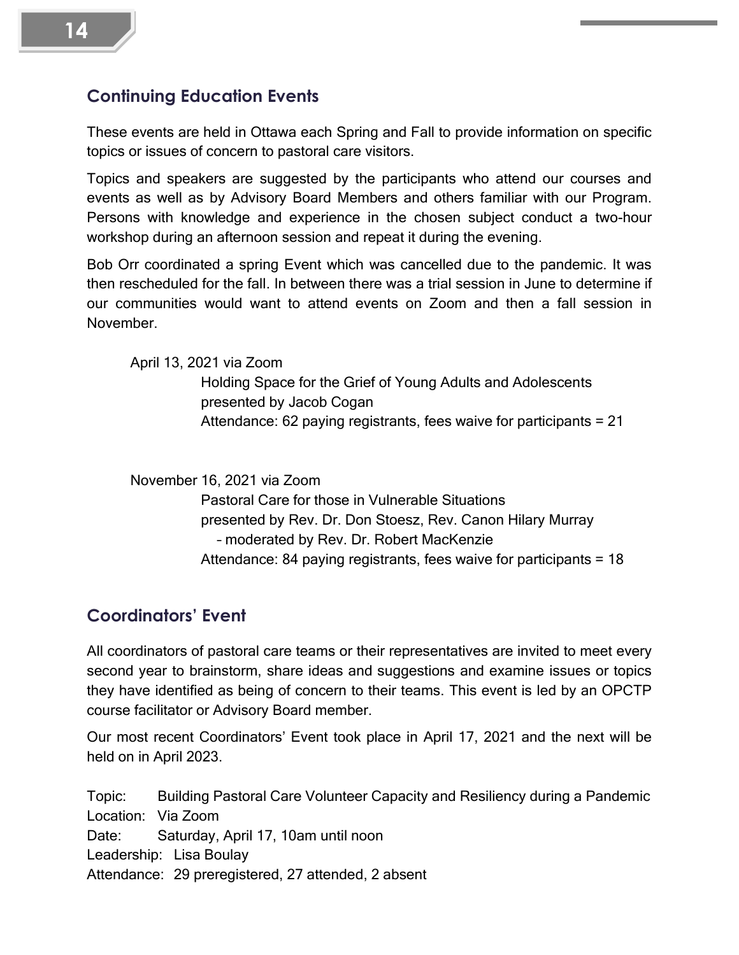#### <span id="page-11-0"></span>**Continuing Education Events**

These events are held in Ottawa each Spring and Fall to provide information on specific topics or issues of concern to pastoral care visitors.

Topics and speakers are suggested by the participants who attend our courses and events as well as by Advisory Board Members and others familiar with our Program. Persons with knowledge and experience in the chosen subject conduct a two-hour workshop during an afternoon session and repeat it during the evening.

Bob Orr coordinated a spring Event which was cancelled due to the pandemic. It was then rescheduled for the fall. In between there was a trial session in June to determine if our communities would want to attend events on Zoom and then a fall session in November.

April 13, 2021 via Zoom

Holding Space for the Grief of Young Adults and Adolescents presented by Jacob Cogan Attendance: 62 paying registrants, fees waive for participants = 21

November 16, 2021 via Zoom

Pastoral Care for those in Vulnerable Situations presented by Rev. Dr. Don Stoesz, Rev. Canon Hilary Murray – moderated by Rev. Dr. Robert MacKenzie Attendance: 84 paying registrants, fees waive for participants = 18

### <span id="page-11-1"></span>**Coordinators' Event**

All coordinators of pastoral care teams or their representatives are invited to meet every second year to brainstorm, share ideas and suggestions and examine issues or topics they have identified as being of concern to their teams. This event is led by an OPCTP course facilitator or Advisory Board member.

Our most recent Coordinators' Event took place in April 17, 2021 and the next will be held on in April 2023.

Topic: Building Pastoral Care Volunteer Capacity and Resiliency during a Pandemic Location: Via Zoom Date: Saturday, April 17, 10am until noon Leadership: Lisa Boulay Attendance: 29 preregistered, 27 attended, 2 absent